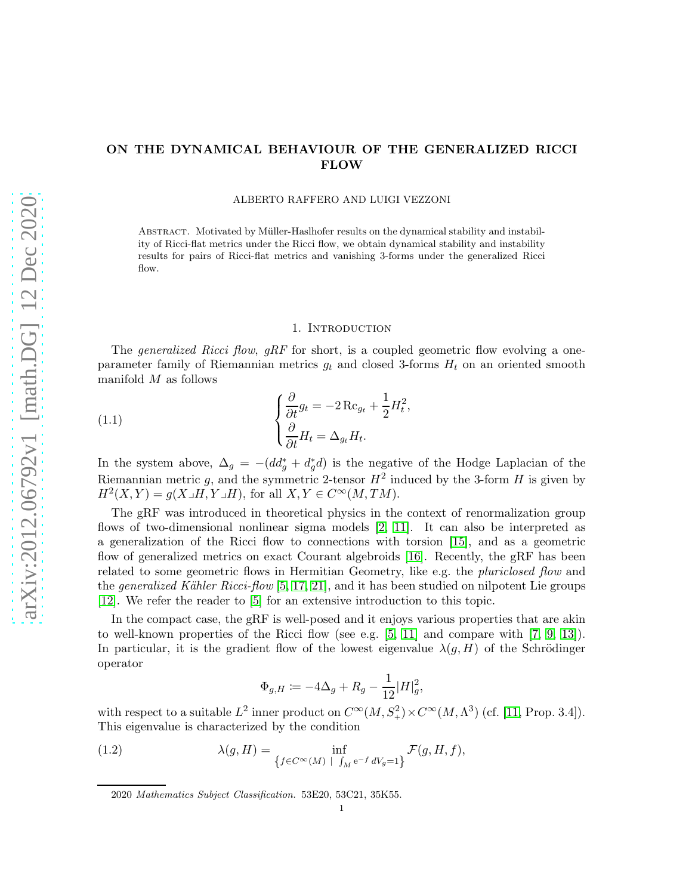# ON THE DYNAMICAL BEHAVIOUR OF THE GENERALIZED RICCI FLOW

### ALBERTO RAFFERO AND LUIGI VEZZONI

ABSTRACT. Motivated by Müller-Haslhofer results on the dynamical stability and instability of Ricci-flat metrics under the Ricci flow, we obtain dynamical stability and instability results for pairs of Ricci-flat metrics and vanishing 3-forms under the generalized Ricci flow.

# <span id="page-0-1"></span>1. INTRODUCTION

The *generalized Ricci flow, gRF* for short, is a coupled geometric flow evolving a oneparameter family of Riemannian metrics  $g_t$  and closed 3-forms  $H_t$  on an oriented smooth manifold M as follows

(1.1) 
$$
\begin{cases} \frac{\partial}{\partial t} g_t = -2 \operatorname{Rc}_{g_t} + \frac{1}{2} H_t^2, \\ \frac{\partial}{\partial t} H_t = \Delta_{g_t} H_t. \end{cases}
$$

In the system above,  $\Delta_g = -(dd_g^* + d_g^*d)$  is the negative of the Hodge Laplacian of the Riemannian metric g, and the symmetric 2-tensor  $H^2$  induced by the 3-form H is given by  $H^2(X, Y) = g(X \lrcorner H, Y \lrcorner H)$ , for all  $X, Y \in C^\infty(M, TM)$ .

The gRF was introduced in theoretical physics in the context of renormalization group flows of two-dimensional nonlinear sigma models [\[2,](#page-8-0) [11\]](#page-8-1). It can also be interpreted as a generalization of the Ricci flow to connections with torsion [\[15\]](#page-8-2), and as a geometric flow of generalized metrics on exact Courant algebroids [\[16\]](#page-8-3). Recently, the gRF has been related to some geometric flows in Hermitian Geometry, like e.g. the *pluriclosed flow* and the *generalized Kähler Ricci-flow* [\[5,](#page-8-4) [17,](#page-8-5) [21\]](#page-9-0), and it has been studied on nilpotent Lie groups [\[12\]](#page-8-6). We refer the reader to [\[5\]](#page-8-4) for an extensive introduction to this topic.

In the compact case, the gRF is well-posed and it enjoys various properties that are akin to well-known properties of the Ricci flow (see e.g.  $[5, 11]$  $[5, 11]$  and compare with  $[7, 9, 13]$  $[7, 9, 13]$  $[7, 9, 13]$ ). In particular, it is the gradient flow of the lowest eigenvalue  $\lambda(g, H)$  of the Schrödinger operator

<span id="page-0-0"></span>
$$
\Phi_{g,H} \coloneqq -4\Delta_g + R_g - \frac{1}{12}|H|_g^2,
$$

with respect to a suitable  $L^2$  inner product on  $C^{\infty}(M, S^2) \times C^{\infty}(M, \Lambda^3)$  (cf. [\[11,](#page-8-1) Prop. 3.4]). This eigenvalue is characterized by the condition

(1.2) 
$$
\lambda(g, H) = \inf_{\{f \in C^{\infty}(M) \mid \int_M e^{-f} dV_g = 1\}} \mathcal{F}(g, H, f),
$$

<sup>2020</sup> Mathematics Subject Classification. 53E20, 53C21, 35K55.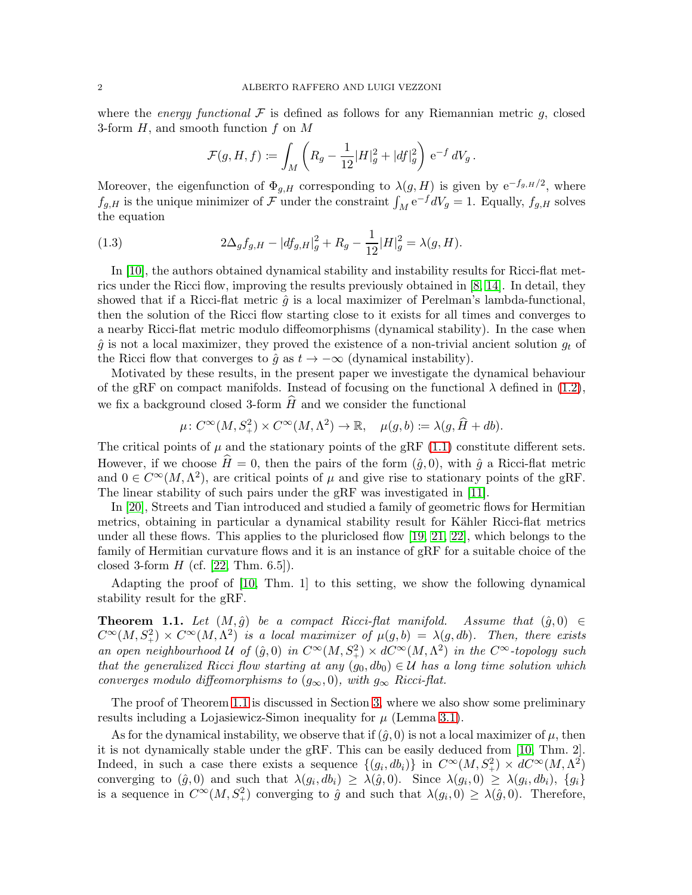where the energy functional  $\mathcal F$  is defined as follows for any Riemannian metric g, closed 3-form  $H$ , and smooth function  $f$  on  $M$ 

<span id="page-1-1"></span>
$$
\mathcal{F}(g,H,f)\coloneqq \int_M \left(R_g-\frac{1}{12}|H|_g^2+|df|_g^2\right)\,\mathrm{e}^{-f}\,dV_g\,.
$$

Moreover, the eigenfunction of  $\Phi_{g,H}$  corresponding to  $\lambda(g,H)$  is given by  $e^{-f_{g,H}/2}$ , where  $f_{g,H}$  is the unique minimizer of F under the constraint  $\int_M e^{-f} dV_g = 1$ . Equally,  $f_{g,H}$  solves the equation

(1.3) 
$$
2\Delta_g f_{g,H} - |df_{g,H}|_g^2 + R_g - \frac{1}{12}|H|_g^2 = \lambda(g,H).
$$

In [\[10\]](#page-8-10), the authors obtained dynamical stability and instability results for Ricci-flat metrics under the Ricci flow, improving the results previously obtained in [\[8,](#page-8-11) [14\]](#page-8-12). In detail, they showed that if a Ricci-flat metric  $\hat{q}$  is a local maximizer of Perelman's lambda-functional, then the solution of the Ricci flow starting close to it exists for all times and converges to a nearby Ricci-flat metric modulo diffeomorphisms (dynamical stability). In the case when  $\hat{g}$  is not a local maximizer, they proved the existence of a non-trivial ancient solution  $g_t$  of the Ricci flow that converges to  $\hat{g}$  as  $t \to -\infty$  (dynamical instability).

Motivated by these results, in the present paper we investigate the dynamical behaviour of the gRF on compact manifolds. Instead of focusing on the functional  $\lambda$  defined in [\(1.2\)](#page-0-0), we fix a background closed 3-form  $\widehat{H}$  and we consider the functional

$$
\mu\colon C^\infty(M, S^2_+) \times C^\infty(M, \Lambda^2) \to \mathbb{R}, \quad \mu(g, b) \coloneqq \lambda(g, \widehat{H} + db).
$$

The critical points of  $\mu$  and the stationary points of the gRF [\(1.1\)](#page-0-1) constitute different sets. However, if we choose  $\hat{H} = 0$ , then the pairs of the form  $(\hat{q}, 0)$ , with  $\hat{q}$  a Ricci-flat metric and  $0 \in C^{\infty}(M, \Lambda^2)$ , are critical points of  $\mu$  and give rise to stationary points of the gRF. The linear stability of such pairs under the gRF was investigated in [\[11\]](#page-8-1).

In [\[20\]](#page-9-1), Streets and Tian introduced and studied a family of geometric flows for Hermitian metrics, obtaining in particular a dynamical stability result for Kähler Ricci-flat metrics under all these flows. This applies to the pluriclosed flow [\[19,](#page-8-13) [21,](#page-9-0) [22\]](#page-9-2), which belongs to the family of Hermitian curvature flows and it is an instance of gRF for a suitable choice of the closed 3-form  $H$  (cf. [\[22,](#page-9-2) Thm. 6.5]).

Adapting the proof of [\[10,](#page-8-10) Thm. 1] to this setting, we show the following dynamical stability result for the gRF.

<span id="page-1-0"></span>**Theorem 1.1.** Let  $(M, \hat{g})$  be a compact Ricci-flat manifold. Assume that  $(\hat{g}, 0) \in$  $C^{\infty}(M, S^2_+) \times C^{\infty}(M, \Lambda^2)$  is a local maximizer of  $\mu(g, b) = \lambda(g, db)$ . Then, there exists an open neighbourhood U of  $(\hat{g}, 0)$  in  $C^{\infty}(M, S^2) \times dC^{\infty}(M, \Lambda^2)$  in the  $C^{\infty}$ -topology such that the generalized Ricci flow starting at any  $(g_0, db_0) \in \mathcal{U}$  has a long time solution which converges modulo diffeomorphisms to  $(g_{\infty}, 0)$ , with  $g_{\infty}$  Ricci-flat.

The proof of Theorem [1.1](#page-1-0) is discussed in Section [3,](#page-4-0) where we also show some preliminary results including a Lojasiewicz-Simon inequality for  $\mu$  (Lemma [3.1\)](#page-4-1).

As for the dynamical instability, we observe that if  $(\hat{g}, 0)$  is not a local maximizer of  $\mu$ , then it is not dynamically stable under the gRF. This can be easily deduced from [\[10,](#page-8-10) Thm. 2]. Indeed, in such a case there exists a sequence  $\{(g_i, db_i)\}\$ in  $C^{\infty}(M, S^2_+) \times dC^{\infty}(M, \Lambda^2)$ converging to  $(\hat{g}, 0)$  and such that  $\lambda(g_i, db_i) \geq \lambda(\hat{g}, 0)$ . Since  $\lambda(g_i, 0) \geq \lambda(g_i, db_i)$ ,  $\{g_i\}$ is a sequence in  $C^{\infty}(M, S_+^2)$  converging to  $\hat{g}$  and such that  $\lambda(g_i, 0) \geq \lambda(\hat{g}, 0)$ . Therefore,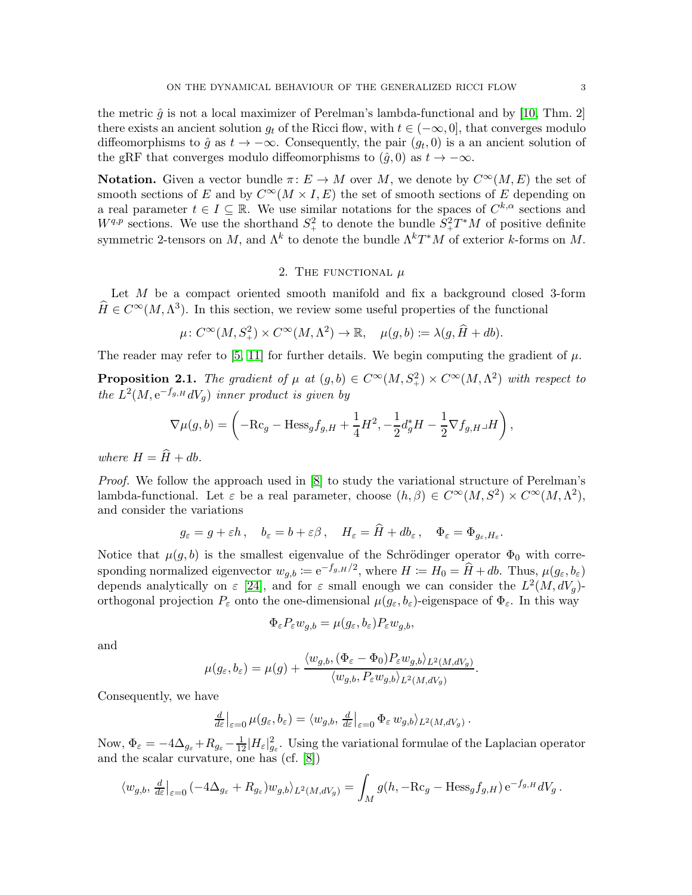the metric  $\hat{q}$  is not a local maximizer of Perelman's lambda-functional and by [\[10,](#page-8-10) Thm. 2] there exists an ancient solution  $g_t$  of the Ricci flow, with  $t \in (-\infty, 0]$ , that converges modulo diffeomorphisms to  $\hat{g}$  as  $t \to -\infty$ . Consequently, the pair  $(g_t, 0)$  is a an ancient solution of the gRF that converges modulo diffeomorphisms to  $(\hat{q}, 0)$  as  $t \to -\infty$ .

**Notation.** Given a vector bundle  $\pi: E \to M$  over M, we denote by  $C^{\infty}(M, E)$  the set of smooth sections of E and by  $C^{\infty}(M \times I, E)$  the set of smooth sections of E depending on a real parameter  $t \in I \subseteq \mathbb{R}$ . We use similar notations for the spaces of  $C^{k,\alpha}$  sections and  $W^{q,p}$  sections. We use the shorthand  $S^2_+$  to denote the bundle  $S^2_+T^*M$  of positive definite symmetric 2-tensors on M, and  $\Lambda^k$  to denote the bundle  $\Lambda^k T^*M$  of exterior k-forms on M.

# 2. THE FUNCTIONAL  $\mu$

Let  $M$  be a compact oriented smooth manifold and fix a background closed 3-form  $\widehat{H} \in C^{\infty}(M, \Lambda^3)$ . In this section, we review some useful properties of the functional

$$
\mu\colon C^\infty(M, S^2_+) \times C^\infty(M, \Lambda^2) \to \mathbb{R}, \quad \mu(g, b) \coloneqq \lambda(g, \widehat{H} + db).
$$

The reader may refer to [\[5,](#page-8-4) [11\]](#page-8-1) for further details. We begin computing the gradient of  $\mu$ .

<span id="page-2-0"></span>**Proposition 2.1.** The gradient of  $\mu$  at  $(g, b) \in C^{\infty}(M, S^2) \times C^{\infty}(M, \Lambda^2)$  with respect to the  $L^2(M, e^{-f_{g,H}}dV_g)$  inner product is given by

$$
\nabla \mu(g,b) = \left(-\mathrm{Rc}_g - \mathrm{Hess}_g f_{g,H} + \frac{1}{4}H^2, -\frac{1}{2}d_g^*H - \frac{1}{2}\nabla f_{g,H}\lrcorner H\right),\,
$$

where  $H = \hat{H} + db$ .

Proof. We follow the approach used in [\[8\]](#page-8-11) to study the variational structure of Perelman's lambda-functional. Let  $\varepsilon$  be a real parameter, choose  $(h, \beta) \in C^{\infty}(M, S^2) \times C^{\infty}(M, \Lambda^2)$ , and consider the variations

$$
g_{\varepsilon} = g + \varepsilon h \,, \quad b_{\varepsilon} = b + \varepsilon \beta \,, \quad H_{\varepsilon} = \tilde{H} + db_{\varepsilon} \,, \quad \Phi_{\varepsilon} = \Phi_{g_{\varepsilon}, H_{\varepsilon}}.
$$

Notice that  $\mu(g, b)$  is the smallest eigenvalue of the Schrödinger operator  $\Phi_0$  with corresponding normalized eigenvector  $w_{g,b} := e^{-f_{g,H}/2}$ , where  $H := H_0 = \widehat{H} + db$ . Thus,  $\mu(g_{\varepsilon}, b_{\varepsilon})$ depends analytically on  $\varepsilon$  [\[24\]](#page-9-3), and for  $\varepsilon$  small enough we can consider the  $L^2(M, dV_g)$ orthogonal projection  $P_{\varepsilon}$  onto the one-dimensional  $\mu(g_{\varepsilon}, b_{\varepsilon})$ -eigenspace of  $\Phi_{\varepsilon}$ . In this way

$$
\Phi_{\varepsilon} P_{\varepsilon} w_{g,b} = \mu(g_{\varepsilon}, b_{\varepsilon}) P_{\varepsilon} w_{g,b},
$$

and

$$
\mu(g_{\varepsilon}, b_{\varepsilon}) = \mu(g) + \frac{\langle w_{g,b}, (\Phi_{\varepsilon} - \Phi_0) P_{\varepsilon} w_{g,b} \rangle_{L^2(M, dV_g)}}{\langle w_{g,b}, P_{\varepsilon} w_{g,b} \rangle_{L^2(M, dV_g)}}.
$$

Consequently, we have

$$
\frac{d}{d\varepsilon}\big|_{\varepsilon=0}\,\mu(g_\varepsilon,b_\varepsilon)=\langle w_{g,b},\,\frac{d}{d\varepsilon}\big|_{\varepsilon=0}\,\Phi_\varepsilon\,w_{g,b}\rangle_{L^2(M,dV_g)}\,.
$$

Now,  $\Phi_{\varepsilon} = -4\Delta_{g_{\varepsilon}} + R_{g_{\varepsilon}} - \frac{1}{12}|H_{\varepsilon}|_{g_{\varepsilon}}^2$ . Using the variational formulae of the Laplacian operator and the scalar curvature, one has (cf. [\[8\]](#page-8-11))

$$
\langle w_{g,b}, \frac{d}{d\varepsilon}\big|_{\varepsilon=0} \left(-4\Delta_{g_{\varepsilon}}+R_{g_{\varepsilon}}\right)w_{g,b}\rangle_{L^2(M, dV_g)} = \int_M g(h, -\mathrm{Rc}_g - \mathrm{Hess}_g f_{g,H}) e^{-f_{g,H}} dV_g.
$$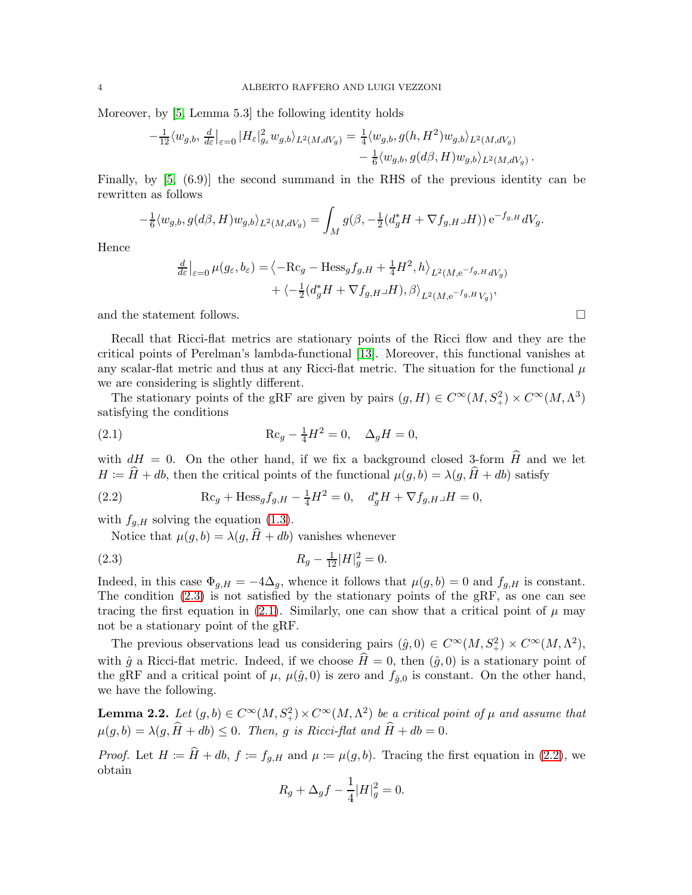Moreover, by [\[5,](#page-8-4) Lemma 5.3] the following identity holds

$$
-\frac{1}{12}\langle w_{g,b},\frac{d}{d\varepsilon}\big|_{\varepsilon=0}|H_{\varepsilon}|_{g_{\varepsilon}}^2w_{g,b}\rangle_{L^2(M,dV_g)}=\frac{1}{4}\langle w_{g,b},g(h,H^2)w_{g,b}\rangle_{L^2(M,dV_g)}\\-\frac{1}{6}\langle w_{g,b},g(d\beta,H)w_{g,b}\rangle_{L^2(M,dV_g)}.
$$

Finally, by [\[5,](#page-8-4) (6.9)] the second summand in the RHS of the previous identity can be rewritten as follows

$$
-\frac{1}{6}\langle w_{g,b},g(d\beta,H)w_{g,b}\rangle_{L^2(M,dV_g)} = \int_M g(\beta,-\frac{1}{2}(d_g^*H+\nabla f_{g,H}\lrcorner H))\,\mathrm{e}^{-f_{g,H}}\,dV_g.
$$

Hence

$$
\frac{d}{d\varepsilon}\Big|_{\varepsilon=0} \mu(g_{\varepsilon}, b_{\varepsilon}) = \left\langle -\text{Rc}_g - \text{Hess}_g f_{g,H} + \frac{1}{4} H^2, h \right\rangle_{L^2(M, e^{-f_{g,H}} dV_g)} \n+ \left\langle -\frac{1}{2} (d_g^* H + \nabla f_{g,H} \Box H), \beta \right\rangle_{L^2(M, e^{-f_{g,H}} V_g)},
$$

and the statement follows.  $\Box$ 

Recall that Ricci-flat metrics are stationary points of the Ricci flow and they are the critical points of Perelman's lambda-functional [\[13\]](#page-8-9). Moreover, this functional vanishes at any scalar-flat metric and thus at any Ricci-flat metric. The situation for the functional  $\mu$ we are considering is slightly different.

The stationary points of the gRF are given by pairs  $(g, H) \in C^{\infty}(M, S^2) \times C^{\infty}(M, \Lambda^3)$ satisfying the conditions

<span id="page-3-1"></span>(2.1) 
$$
\mathrm{Rc}_g - \frac{1}{4}H^2 = 0, \quad \Delta_g H = 0,
$$

with  $dH = 0$ . On the other hand, if we fix a background closed 3-form  $\hat{H}$  and we let  $H = \hat{H} + db$ , then the critical points of the functional  $\mu(g, b) = \lambda(g, \hat{H} + db)$  satisfy

(2.2) 
$$
\text{Rc}_g + \text{Hess}_g f_{g,H} - \frac{1}{4} H^2 = 0, \quad d_g^* H + \nabla f_{g,H} \Box H = 0,
$$

with  $f_{g,H}$  solving the equation [\(1.3\)](#page-1-1).

<span id="page-3-2"></span><span id="page-3-0"></span>Notice that  $\mu(g, b) = \lambda(g, \hat{H} + db)$  vanishes whenever

(2.3) 
$$
R_g - \frac{1}{12}|H|_g^2 = 0.
$$

Indeed, in this case  $\Phi_{q,H} = -4\Delta_q$ , whence it follows that  $\mu(g, b) = 0$  and  $f_{q,H}$  is constant. The condition [\(2.3\)](#page-3-0) is not satisfied by the stationary points of the gRF, as one can see tracing the first equation in [\(2.1\)](#page-3-1). Similarly, one can show that a critical point of  $\mu$  may not be a stationary point of the gRF.

The previous observations lead us considering pairs  $(\hat{g}, 0) \in C^{\infty}(M, S_+^2) \times C^{\infty}(M, \Lambda^2)$ , with  $\hat{g}$  a Ricci-flat metric. Indeed, if we choose  $\hat{H} = 0$ , then  $(\hat{g}, 0)$  is a stationary point of the gRF and a critical point of  $\mu$ ,  $\mu(\hat{g},0)$  is zero and  $f_{\hat{g},0}$  is constant. On the other hand, we have the following.

<span id="page-3-3"></span>**Lemma 2.2.** Let  $(g, b) \in C^{\infty}(M, S^2) \times C^{\infty}(M, \Lambda^2)$  be a critical point of  $\mu$  and assume that  $\mu(q, b) = \lambda(q, \hat{H} + db) \leq 0$ . Then, g is Ricci-flat and  $\hat{H} + db = 0$ .

*Proof.* Let  $H \coloneqq \hat{H} + db$ ,  $f \coloneqq f_{g,H}$  and  $\mu \coloneqq \mu(g, b)$ . Tracing the first equation in [\(2.2\)](#page-3-2), we obtain

$$
R_g + \Delta_g f - \frac{1}{4} |H|_g^2 = 0.
$$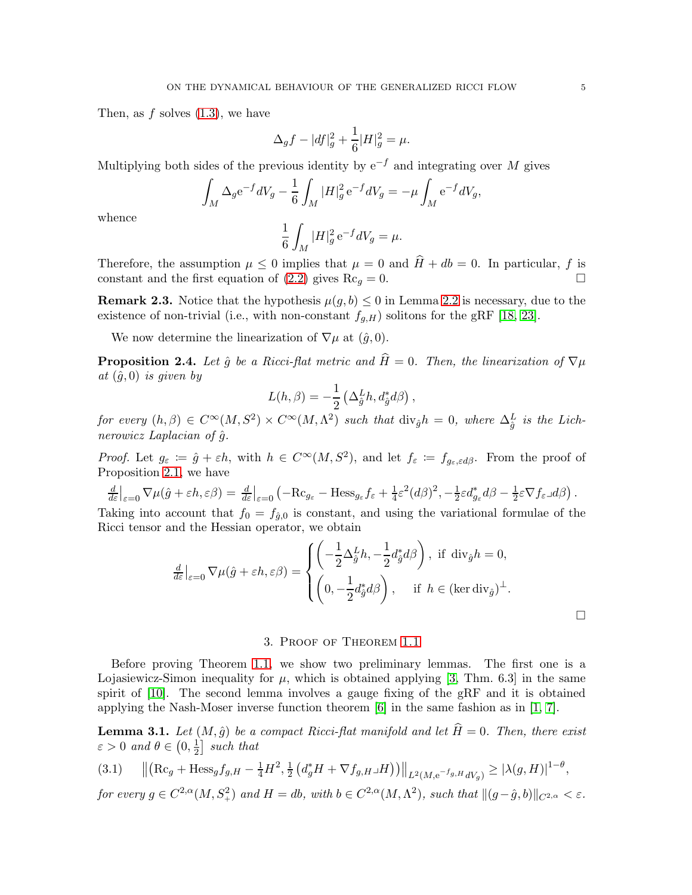Then, as  $f$  solves  $(1.3)$ , we have

$$
\Delta_g f - |df|_g^2 + \frac{1}{6}|H|_g^2 = \mu.
$$

Multiplying both sides of the previous identity by  $e^{-f}$  and integrating over M gives

$$
\int_M \Delta_g e^{-f} dV_g - \frac{1}{6} \int_M |H|_g^2 e^{-f} dV_g = -\mu \int_M e^{-f} dV_g,
$$

whence

$$
\frac{1}{6} \int_M |H|_g^2 e^{-f} dV_g = \mu.
$$

Therefore, the assumption  $\mu \leq 0$  implies that  $\mu = 0$  and  $\widehat{H} + db = 0$ . In particular, f is constant and the first equation of [\(2.2\)](#page-3-2) gives  $\text{Rc}_q = 0$ .

**Remark 2.3.** Notice that the hypothesis  $\mu(g, b) \leq 0$  in Lemma [2.2](#page-3-3) is necessary, due to the existence of non-trivial (i.e., with non-constant  $f_{g,H}$ ) solitons for the gRF [\[18,](#page-8-14) [23\]](#page-9-4).

We now determine the linearization of  $\nabla \mu$  at  $(\hat{g}, 0)$ .

<span id="page-4-3"></span>**Proposition 2.4.** Let  $\hat{q}$  be a Ricci-flat metric and  $\hat{H} = 0$ . Then, the linearization of  $\nabla \mu$ at  $(\hat{g}, 0)$  is given by

$$
L(h,\beta) = -\frac{1}{2} \left( \Delta_{\hat{g}}^L h, d_{\hat{g}}^* d\beta \right),
$$

for every  $(h, \beta) \in C^{\infty}(M, S^2) \times C^{\infty}(M, \Lambda^2)$  such that  $\text{div}_{\hat{g}} h = 0$ , where  $\Delta_{\hat{g}}^L$  is the Lichnerowicz Laplacian of  $\hat{g}$ .

Proof. Let  $g_{\varepsilon} := \hat{g} + \varepsilon h$ , with  $h \in C^{\infty}(M, S^2)$ , and let  $f_{\varepsilon} := f_{g_{\varepsilon}, \varepsilon d\beta}$ . From the proof of Proposition [2.1,](#page-2-0) we have

$$
\frac{d}{d\varepsilon}\Big|_{\varepsilon=0} \nabla \mu(\hat{g} + \varepsilon h, \varepsilon \beta) = \frac{d}{d\varepsilon}\Big|_{\varepsilon=0} \left( -\mathrm{Rc}_{g_{\varepsilon}} - \mathrm{Hess}_{g_{\varepsilon}} f_{\varepsilon} + \frac{1}{4}\varepsilon^2 (d\beta)^2, -\frac{1}{2}\varepsilon d_{g_{\varepsilon}}^* d\beta - \frac{1}{2}\varepsilon \nabla f_{\varepsilon} d\beta \right).
$$

Taking into account that  $f_0 = f_{\hat{g},0}$  is constant, and using the variational formulae of the Ricci tensor and the Hessian operator, we obtain

$$
\frac{d}{d\varepsilon}\Big|_{\varepsilon=0} \nabla \mu(\hat{g} + \varepsilon h, \varepsilon \beta) = \begin{cases} \left( -\frac{1}{2} \Delta_{\hat{g}}^L h, -\frac{1}{2} d_{\hat{g}}^* d\beta \right), & \text{if } \operatorname{div}_{\hat{g}} h = 0, \\ \left( 0, -\frac{1}{2} d_{\hat{g}}^* d\beta \right), & \text{if } h \in (\ker \operatorname{div}_{\hat{g}})^\perp. \end{cases}
$$

# 3. Proof of Theorem [1.1](#page-1-0)

<span id="page-4-0"></span>Before proving Theorem [1.1,](#page-1-0) we show two preliminary lemmas. The first one is a Lojasiewicz-Simon inequality for  $\mu$ , which is obtained applying [\[3,](#page-8-15) Thm. 6.3] in the same spirit of [\[10\]](#page-8-10). The second lemma involves a gauge fixing of the gRF and it is obtained applying the Nash-Moser inverse function theorem [\[6\]](#page-8-16) in the same fashion as in [\[1,](#page-8-17) [7\]](#page-8-7).

<span id="page-4-1"></span>**Lemma 3.1.** Let  $(M, \hat{g})$  be a compact Ricci-flat manifold and let  $\hat{H} = 0$ . Then, there exist  $\varepsilon > 0$  and  $\theta \in \left(0, \frac{1}{2}\right)$  $\frac{1}{2}$  such that

<span id="page-4-2"></span>
$$
(3.1) \qquad ||(Rc_g + Hess_g f_{g,H} - \frac{1}{4}H^2, \frac{1}{2}(d_g^*H + \nabla f_{g,H}\Box H))||_{L^2(M, e^{-f_{g,H}}dV_g)} \ge |\lambda(g,H)|^{1-\theta},
$$

for every  $g \in C^{2,\alpha}(M,S_+^2)$  and  $H = db$ , with  $b \in C^{2,\alpha}(M,\Lambda^2)$ , such that  $\|(g-\hat{g},b)\|_{C^{2,\alpha}} < \varepsilon$ .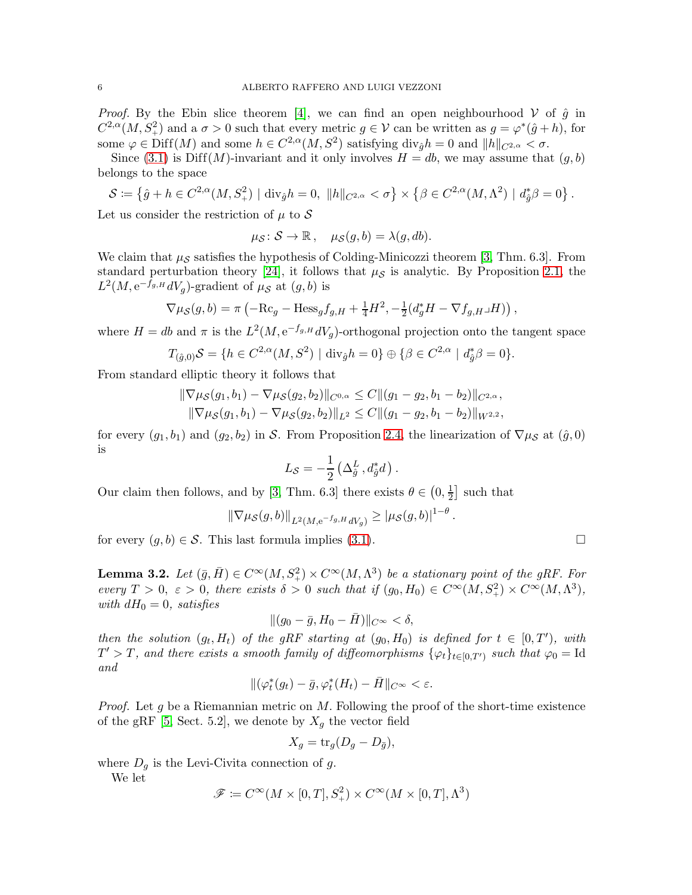*Proof.* By the Ebin slice theorem [\[4\]](#page-8-18), we can find an open neighbourhood V of  $\hat{g}$  in  $C^{2,\alpha}(M, S^2_+)$  and a  $\sigma > 0$  such that every metric  $g \in \mathcal{V}$  can be written as  $g = \varphi^*(\hat{g} + h)$ , for some  $\varphi \in \text{Diff}(M)$  and some  $h \in C^{2,\alpha}(M,S^2)$  satisfying  $\text{div}_{\hat{g}}h = 0$  and  $||h||_{C^{2,\alpha}} < \sigma$ .

Since [\(3.1\)](#page-4-2) is Diff(M)-invariant and it only involves  $H = db$ , we may assume that  $(g, b)$ belongs to the space

$$
S \coloneqq \left\{ \hat{g} + h \in C^{2,\alpha}(M, S_+^2) \mid \text{div}_{\hat{g}} h = 0, \ \|h\|_{C^{2,\alpha}} < \sigma \right\} \times \left\{ \beta \in C^{2,\alpha}(M, \Lambda^2) \mid d_{\hat{g}}^* \beta = 0 \right\}.
$$

Let us consider the restriction of  $\mu$  to S

$$
\mu_{\mathcal{S}}\colon \mathcal{S} \to \mathbb{R}, \quad \mu_{\mathcal{S}}(g, b) = \lambda(g, db).
$$

We claim that  $\mu_{\mathcal{S}}$  satisfies the hypothesis of Colding-Minicozzi theorem [\[3,](#page-8-15) Thm. 6.3]. From standard perturbation theory [\[24\]](#page-9-3), it follows that  $\mu_{\mathcal{S}}$  is analytic. By Proposition [2.1,](#page-2-0) the  $L^2(M, e^{-f_{g,H}}dV_g)$ -gradient of  $\mu_{\mathcal{S}}$  at  $(g, b)$  is

$$
\nabla \mu_{\mathcal{S}}(g, b) = \pi \left( -\mathrm{Rc}_g - \mathrm{Hess}_g f_{g,H} + \frac{1}{4} H^2, -\frac{1}{2} (d_g^* H - \nabla f_{g,H} \Box H) \right),
$$

where  $H = db$  and  $\pi$  is the  $L^2(M, e^{-f_g H} dV_g)$ -orthogonal projection onto the tangent space

$$
T_{(\hat{g},0)}\mathcal{S} = \{ h \in C^{2,\alpha}(M,S^2) \mid \text{div}_{\hat{g}} h = 0 \} \oplus \{ \beta \in C^{2,\alpha} \mid d_{\hat{g}}^* \beta = 0 \}.
$$

From standard elliptic theory it follows that

$$
\|\nabla\mu_{\mathcal{S}}(g_1, b_1) - \nabla\mu_{\mathcal{S}}(g_2, b_2)\|_{C^{0,\alpha}} \leq C \|(g_1 - g_2, b_1 - b_2)\|_{C^{2,\alpha}},
$$
  

$$
\|\nabla\mu_{\mathcal{S}}(g_1, b_1) - \nabla\mu_{\mathcal{S}}(g_2, b_2)\|_{L^2} \leq C \|(g_1 - g_2, b_1 - b_2)\|_{W^{2,2}},
$$

for every  $(g_1, b_1)$  and  $(g_2, b_2)$  in S. From Proposition [2.4,](#page-4-3) the linearization of  $\nabla \mu_S$  at  $(\hat{g}, 0)$ is

$$
L_{\mathcal{S}} = -\frac{1}{2} \left( \Delta_{\hat{g}}^{L}, d_{\hat{g}}^{*} d \right).
$$

Our claim then follows, and by [\[3,](#page-8-15) Thm. 6.3] there exists  $\theta \in (0, \frac{1}{2})$  $\frac{1}{2}$  such that

$$
\|\nabla \mu_{\mathcal{S}}(g,b)\|_{L^2(M, e^{-f_{g,H}}dV_g)} \geq |\mu_{\mathcal{S}}(g,b)|^{1-\theta}.
$$

for every  $(g, b) \in \mathcal{S}$ . This last formula implies [\(3.1\)](#page-4-2).

<span id="page-5-0"></span>**Lemma 3.2.** Let  $(\bar{g}, \bar{H}) \in C^{\infty}(M, S_+^2) \times C^{\infty}(M, \Lambda^3)$  be a stationary point of the gRF. For every  $T > 0$ ,  $\varepsilon > 0$ , there exists  $\delta > 0$  such that if  $(g_0, H_0) \in C^{\infty}(M, S^2) \times C^{\infty}(M, \Lambda^3)$ , with  $dH_0 = 0$ , satisfies

$$
\|(g_0-\bar{g},H_0-\bar{H})\|_{C^\infty}<\delta,
$$

then the solution  $(g_t, H_t)$  of the gRF starting at  $(g_0, H_0)$  is defined for  $t \in [0, T')$ , with  $T' > T$ , and there exists a smooth family of diffeomorphisms  $\{\varphi_t\}_{t \in [0,T')}$  such that  $\varphi_0 = \text{Id}$ and

$$
\|(\varphi_t^*(g_t) - \bar{g}, \varphi_t^*(H_t) - \bar{H}\|_{C^{\infty}} < \varepsilon.
$$

*Proof.* Let g be a Riemannian metric on  $M$ . Following the proof of the short-time existence of the gRF [\[5,](#page-8-4) Sect. 5.2], we denote by  $X_q$  the vector field

$$
X_g = \text{tr}_g(D_g - D_{\bar{g}}),
$$

where  $D_g$  is the Levi-Civita connection of g.

We let

$$
\mathscr{F} \coloneqq C^\infty(M\times [0,T], S^2_+) \times C^\infty(M\times [0,T], \Lambda^3)
$$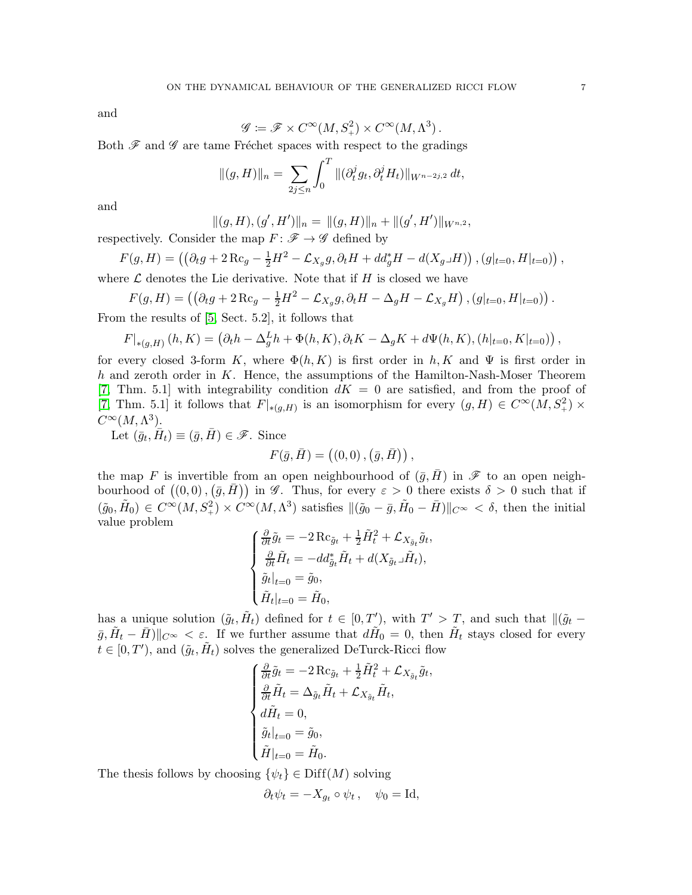and

$$
\mathscr{G} \coloneqq \mathscr{F} \times C^\infty(M,S_+^2) \times C^\infty(M,\Lambda^3) \,.
$$

Both  $\mathscr F$  and  $\mathscr G$  are tame Fréchet spaces with respect to the gradings

$$
\|(g,H)\|_{n} = \sum_{2j \leq n} \int_{0}^{T} \|(\partial_t^j g_t, \partial_t^j H_t)\|_{W^{n-2j,2}} dt,
$$

and

$$
||(g,H),(g',H')||_n=||(g,H)||_n+||(g',H')||_{W^{n,2}},
$$

respectively. Consider the map  $F: \mathscr{F} \to \mathscr{G}$  defined by

$$
F(g, H) = \left( \left( \partial_t g + 2 \operatorname{Rc}_g - \frac{1}{2} H^2 - \mathcal{L}_{X_g} g, \partial_t H + dd^*_g H - d(X_g \Box H) \right), (g|_{t=0}, H|_{t=0}) \right),
$$
 where  $\mathcal{L}$  denotes the Lie derivative. Note that if H is closed we have

$$
F(g,H) = \left( \left( \partial_t g + 2 \operatorname{Rc}_g - \frac{1}{2} H^2 - \mathcal{L}_{X_g} g, \partial_t H - \Delta_g H - \mathcal{L}_{X_g} H \right), (g|_{t=0}, H|_{t=0}) \right).
$$

From the results of [\[5,](#page-8-4) Sect. 5.2], it follows that

$$
F|_{*(g,H)}(h,K) = (\partial_t h - \Delta_g^L h + \Phi(h,K), \partial_t K - \Delta_g K + d\Psi(h,K), (h|_{t=0}, K|_{t=0}))
$$

for every closed 3-form K, where  $\Phi(h, K)$  is first order in h, K and  $\Psi$  is first order in h and zeroth order in  $K$ . Hence, the assumptions of the Hamilton-Nash-Moser Theorem [\[7,](#page-8-7) Thm. 5.1] with integrability condition  $dK = 0$  are satisfied, and from the proof of [\[7,](#page-8-7) Thm. 5.1] it follows that  $F|_{*(g,H)}$  is an isomorphism for every  $(g,H) \in C^{\infty}(M, S^2) \times$  $C^{\infty}(M,\Lambda^3)$ .

Let  $(\bar{g}_t, \bar{H}_t) \equiv (\bar{g}, \bar{H}) \in \mathscr{F}$ . Since

$$
F(\bar{g}, \bar{H}) = ((0,0), (\bar{g}, \bar{H})),
$$

the map F is invertible from an open neighbourhood of  $(\bar{g}, \bar{H})$  in F to an open neighbourhood of  $((0,0),(\bar{g},\bar{H}))$  in G. Thus, for every  $\varepsilon > 0$  there exists  $\delta > 0$  such that if  $(\tilde{g}_0, \tilde{H}_0) \in C^{\infty}(M, S_+^2) \times C^{\infty}(M, \Lambda^3)$  satisfies  $\|(\tilde{g}_0 - \bar{g}, \tilde{H}_0 - \bar{H})\|_{C^{\infty}} < \delta$ , then the initial value problem

$$
\begin{cases} \frac{\partial}{\partial t} \tilde{g}_t = -2 \operatorname{Rc}_{\tilde{g}_t} + \frac{1}{2} \tilde{H}_t^2 + \mathcal{L}_{X_{\tilde{g}_t}} \tilde{g}_t, \\ \frac{\partial}{\partial t} \tilde{H}_t = -dd_{\tilde{g}_t}^* \tilde{H}_t + d(X_{\tilde{g}_t} \Box \tilde{H}_t), \\ \tilde{g}_t|_{t=0} = \tilde{g}_0, \\ \tilde{H}_t|_{t=0} = \tilde{H}_0, \end{cases}
$$

has a unique solution  $(\tilde{g}_t, \tilde{H}_t)$  defined for  $t \in [0, T')$ , with  $T' > T$ , and such that  $\|\tilde{g}_t \bar{g}, \tilde{H}_t - \bar{H}$ )|| $C^{\infty} < \varepsilon$ . If we further assume that  $d\tilde{H}_0 = 0$ , then  $\tilde{H}_t$  stays closed for every  $t \in [0, T'),$  and  $(\tilde{g}_t, \tilde{H}_t)$  solves the generalized DeTurck-Ricci flow

$$
\begin{cases}\n\frac{\partial}{\partial t}\tilde{g}_t = -2\operatorname{Rc}_{\tilde{g}_t} + \frac{1}{2}\tilde{H}_t^2 + \mathcal{L}_{X_{\tilde{g}_t}}\tilde{g}_t, \\
\frac{\partial}{\partial t}\tilde{H}_t = \Delta_{\tilde{g}_t}\tilde{H}_t + \mathcal{L}_{X_{\tilde{g}_t}}\tilde{H}_t, \\
d\tilde{H}_t = 0, \\
\tilde{g}_t|_{t=0} = \tilde{g}_0, \\
\tilde{H}|_{t=0} = \tilde{H}_0.\n\end{cases}
$$

The thesis follows by choosing  $\{\psi_t\} \in \text{Diff}(M)$  solving

$$
\partial_t \psi_t = -X_{g_t} \circ \psi_t , \quad \psi_0 = \text{Id},
$$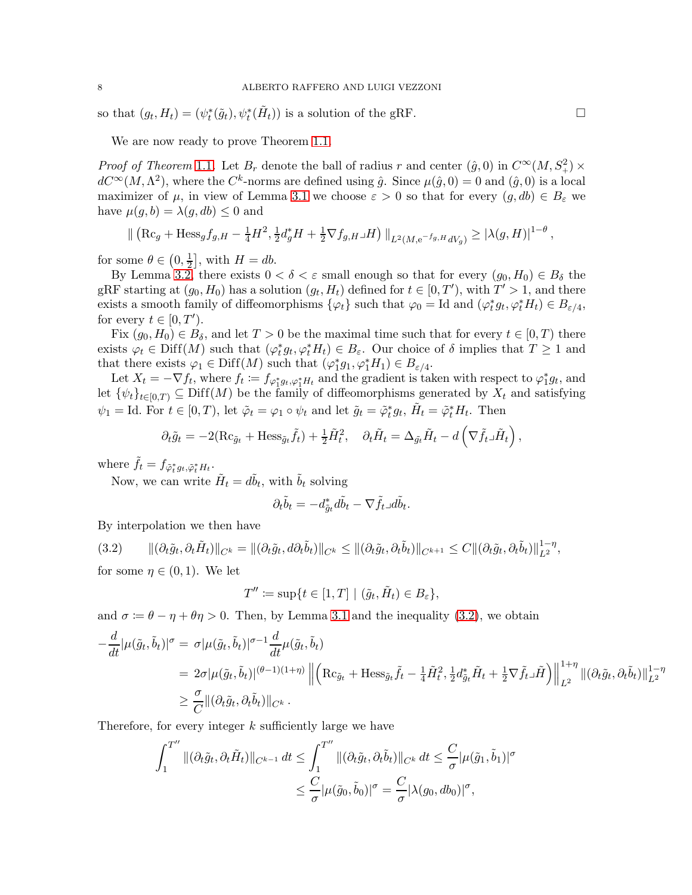so that  $(g_t, H_t) = (\psi_t^*(\tilde{g}_t), \psi_t^*(\tilde{H}_t))$  is a solution of the gRF.

We are now ready to prove Theorem [1.1.](#page-1-0)

*Proof of Theorem* [1](#page-1-0).1. Let  $B_r$  denote the ball of radius r and center  $(\hat{g}, 0)$  in  $C^{\infty}(M, S_+^2) \times$  $dC^{\infty}(M, \Lambda^2)$ , where the  $C^k$ -norms are defined using  $\hat{g}$ . Since  $\mu(\hat{g}, 0) = 0$  and  $(\hat{g}, 0)$  is a local maximizer of  $\mu$ , in view of Lemma [3.1](#page-4-1) we choose  $\varepsilon > 0$  so that for every  $(g, db) \in B_{\varepsilon}$  we have  $\mu(g, b) = \lambda(g, db) \leq 0$  and

$$
\| \left( \mathrm{Rc}_{g} + \mathrm{Hess}_{g} f_{g,H} - \frac{1}{4} H^2, \frac{1}{2} d_g^* H + \frac{1}{2} \nabla f_{g,H} \Box H \right) \|_{L^2(M, e^{-f_{g,H}} dV_g)} \geq |\lambda(g,H)|^{1-\theta},
$$

for some  $\theta \in \left(0, \frac{1}{2}\right)$  $\frac{1}{2}$ , with  $H = db$ .

By Lemma [3.2,](#page-5-0) there exists  $0 < \delta < \varepsilon$  small enough so that for every  $(g_0, H_0) \in B_\delta$  the gRF starting at  $(g_0, H_0)$  has a solution  $(g_t, H_t)$  defined for  $t \in [0, T')$ , with  $T' > 1$ , and there exists a smooth family of diffeomorphisms  $\{\varphi_t\}$  such that  $\varphi_0 = \text{Id}$  and  $(\varphi_t^* g_t, \varphi_t^* H_t) \in B_{\varepsilon/4}$ , for every  $t \in [0, T').$ 

Fix  $(g_0, H_0) \in B_\delta$ , and let  $T > 0$  be the maximal time such that for every  $t \in [0, T)$  there exists  $\varphi_t \in \text{Diff}(M)$  such that  $(\varphi_t^* g_t, \varphi_t^* H_t) \in B_\varepsilon$ . Our choice of  $\delta$  implies that  $T \geq 1$  and that there exists  $\varphi_1 \in \text{Diff}(M)$  such that  $(\varphi_1^* g_1, \varphi_1^* H_1) \in B_{\varepsilon/4}$ .

Let  $X_t = -\nabla f_t$ , where  $f_t := f_{\varphi_1^* g_t, \varphi_1^* H_t}$  and the gradient is taken with respect to  $\varphi_1^* g_t$ , and let  $\{\psi_t\}_{t\in[0,T)}\subseteq \text{Diff}(M)$  be the family of diffeomorphisms generated by  $X_t$  and satisfying  $\psi_1 = \text{Id. For } t \in [0, T)$ , let  $\tilde{\varphi}_t = \varphi_1 \circ \psi_t$  and let  $\tilde{g}_t = \tilde{\varphi}_t^* g_t$ ,  $\tilde{H}_t = \tilde{\varphi}_t^* H_t$ . Then

$$
\partial_t \tilde{g}_t = -2(\mathrm{Rc}_{\tilde{g}_t} + \mathrm{Hess}_{\tilde{g}_t} \tilde{f}_t) + \frac{1}{2} \tilde{H}_t^2, \quad \partial_t \tilde{H}_t = \Delta_{\tilde{g}_t} \tilde{H}_t - d\left(\nabla \tilde{f}_t \Box \tilde{H}_t\right),
$$

where  $\tilde{f}_t = f_{\tilde{\varphi}_t^* g_t, \tilde{\varphi}_t^* H_t}$ .

Now, we can write  $\tilde{H}_t = d\tilde{b}_t$ , with  $\tilde{b}_t$  solving

$$
\partial_t \tilde{b}_t = -d_{\tilde{g}_t}^* d\tilde{b}_t - \nabla \tilde{f}_t \Box d\tilde{b}_t.
$$

By interpolation we then have

<span id="page-7-0"></span>
$$
(3.2) \qquad ||(\partial_t \tilde{g}_t, \partial_t \tilde{H}_t)||_{C^k} = ||(\partial_t \tilde{g}_t, d\partial_t \tilde{b}_t)||_{C^k} \leq ||(\partial_t \tilde{g}_t, \partial_t \tilde{b}_t)||_{C^{k+1}} \leq C ||(\partial_t \tilde{g}_t, \partial_t \tilde{b}_t)||_{L^2}^{1-\eta},
$$

for some  $\eta \in (0,1)$ . We let

$$
T'' \coloneqq \sup\{t \in [1, T] \mid (\tilde{g}_t, \tilde{H}_t) \in B_{\varepsilon}\},
$$

and  $\sigma := \theta - \eta + \theta \eta > 0$ . Then, by Lemma [3.1](#page-4-2) and the inequality [\(3.2\)](#page-7-0), we obtain

$$
-\frac{d}{dt}|\mu(\tilde{g}_t, \tilde{b}_t)|^{\sigma} = \sigma |\mu(\tilde{g}_t, \tilde{b}_t)|^{\sigma-1} \frac{d}{dt} \mu(\tilde{g}_t, \tilde{b}_t)
$$
  
\n
$$
= 2\sigma |\mu(\tilde{g}_t, \tilde{b}_t)|^{(\theta-1)(1+\eta)} \left\| \left( \mathrm{Rc}_{\tilde{g}_t} + \mathrm{Hess}_{\tilde{g}_t} \tilde{f}_t - \frac{1}{4} \tilde{H}_t^2, \frac{1}{2} d_{\tilde{g}_t}^* \tilde{H}_t + \frac{1}{2} \nabla \tilde{f}_t \tilde{H} \right) \right\|_{L^2}^{1+\eta} ||(\partial_t \tilde{g}_t, \partial_t \tilde{b}_t)||_{L^2}^{1-\eta}
$$
  
\n
$$
\geq \frac{\sigma}{C} ||(\partial_t \tilde{g}_t, \partial_t \tilde{b}_t)||_{C^k}.
$$

Therefore, for every integer  $k$  sufficiently large we have

$$
\int_{1}^{T''} \|(\partial_t \tilde{g}_t, \partial_t \tilde{H}_t)\|_{C^{k-1}} dt \leq \int_{1}^{T''} \|(\partial_t \tilde{g}_t, \partial_t \tilde{b}_t)\|_{C^k} dt \leq \frac{C}{\sigma} |\mu(\tilde{g}_1, \tilde{b}_1)|^{\sigma}
$$
  

$$
\leq \frac{C}{\sigma} |\mu(\tilde{g}_0, \tilde{b}_0)|^{\sigma} = \frac{C}{\sigma} |\lambda(g_0, db_0)|^{\sigma},
$$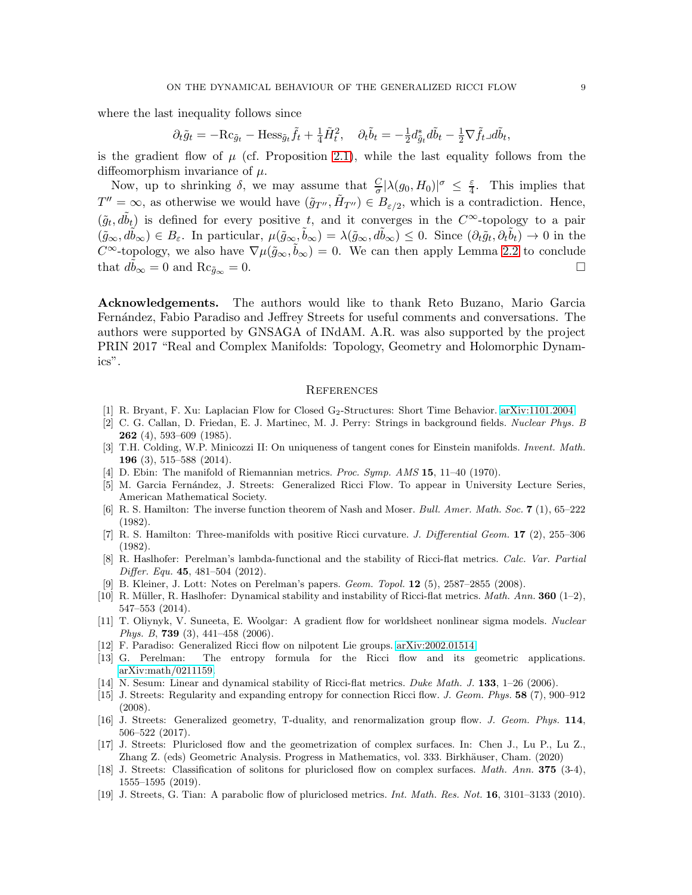where the last inequality follows since

$$
\partial_t \tilde{g}_t = -\mathrm{Rc}_{\tilde{g}_t} - \mathrm{Hess}_{\tilde{g}_t} \tilde{f}_t + \frac{1}{4} \tilde{H}_t^2, \quad \partial_t \tilde{b}_t = -\frac{1}{2} d_{\tilde{g}_t}^* d\tilde{b}_t - \frac{1}{2} \nabla \tilde{f}_t \Box d\tilde{b}_t,
$$

is the gradient flow of  $\mu$  (cf. Proposition [2.1\)](#page-2-0), while the last equality follows from the diffeomorphism invariance of  $\mu$ .

Now, up to shrinking  $\delta$ , we may assume that  $\frac{C}{\sigma} |\lambda(g_0, H_0)|^{\sigma} \leq \frac{\varepsilon}{4}$  $\frac{\varepsilon}{4}$ . This implies that  $T'' = \infty$ , as otherwise we would have  $(\tilde{g}_{T''}, \tilde{H}_{T''}) \in B_{\varepsilon/2}$ , which is a contradiction. Hence,  $(\tilde{g}_t, d\tilde{b}_t)$  is defined for every positive t, and it converges in the  $C^{\infty}$ -topology to a pair  $(\tilde{g}_{\infty}, d\tilde{b}_{\infty}) \in B_{\varepsilon}$ . In particular,  $\mu(\tilde{g}_{\infty}, \tilde{b}_{\infty}) = \lambda(\tilde{g}_{\infty}, d\tilde{b}_{\infty}) \leq 0$ . Since  $(\partial_t \tilde{g}_t, \partial_t \tilde{b}_t) \to 0$  in the C<sup>∞</sup>-topology, we also have  $\nabla \mu(\tilde{g}_{\infty}, \tilde{b}_{\infty}) = 0$ . We can then apply Lemma [2.2](#page-3-3) to conclude that  $d\tilde{b}_{\infty} = 0$  and  $\text{Rc}_{\tilde{g}_{\infty}} = 0$ .

Acknowledgements. The authors would like to thank Reto Buzano, Mario Garcia Fern´andez, Fabio Paradiso and Jeffrey Streets for useful comments and conversations. The authors were supported by GNSAGA of INdAM. A.R. was also supported by the project PRIN 2017 "Real and Complex Manifolds: Topology, Geometry and Holomorphic Dynamics".

#### **REFERENCES**

- <span id="page-8-17"></span><span id="page-8-0"></span>[1] R. Bryant, F. Xu: Laplacian Flow for Closed G2-Structures: Short Time Behavior. [arXiv:1101.2004.](https://arxiv.org/abs/1101.2004)
- [2] C. G. Callan, D. Friedan, E. J. Martinec, M. J. Perry: Strings in background fields. Nuclear Phys. B **262** (4), 593–609 (1985).
- <span id="page-8-15"></span>[3] T.H. Colding, W.P. Minicozzi II: On uniqueness of tangent cones for Einstein manifolds. Invent. Math. 196 (3), 515–588 (2014).
- <span id="page-8-18"></span><span id="page-8-4"></span>[4] D. Ebin: The manifold of Riemannian metrics. Proc. Symp. AMS 15, 11-40 (1970).
- [5] M. Garcia Fernández, J. Streets: Generalized Ricci Flow. To appear in University Lecture Series, American Mathematical Society.
- <span id="page-8-16"></span>[6] R. S. Hamilton: The inverse function theorem of Nash and Moser. Bull. Amer. Math. Soc. 7 (1), 65–222 (1982).
- <span id="page-8-7"></span>[7] R. S. Hamilton: Three-manifolds with positive Ricci curvature. J. Differential Geom. 17 (2), 255–306 (1982).
- <span id="page-8-11"></span>[8] R. Haslhofer: Perelman's lambda-functional and the stability of Ricci-flat metrics. Calc. Var. Partial Differ. Equ. 45,  $481-504$  (2012).
- <span id="page-8-10"></span><span id="page-8-8"></span>[9] B. Kleiner, J. Lott: Notes on Perelman's papers. Geom. Topol. 12 (5), 2587–2855 (2008).
- [10] R. Müller, R. Haslhofer: Dynamical stability and instability of Ricci-flat metrics. Math. Ann. **360** (1–2), 547–553 (2014).
- <span id="page-8-1"></span>[11] T. Oliynyk, V. Suneeta, E. Woolgar: A gradient flow for worldsheet nonlinear sigma models. Nuclear Phys. B, 739 (3), 441-458 (2006).
- <span id="page-8-9"></span><span id="page-8-6"></span>[12] F. Paradiso: Generalized Ricci flow on nilpotent Lie groups. [arXiv:2002.01514.](https://arxiv.org/abs/2002.01514)
- [13] G. Perelman: The entropy formula for the Ricci flow and its geometric applications. [arXiv:math/0211159.](http://arxiv.org/abs/math/0211159)
- <span id="page-8-12"></span><span id="page-8-2"></span>[14] N. Sesum: Linear and dynamical stability of Ricci-flat metrics. Duke Math. J. 133, 1–26 (2006).
- [15] J. Streets: Regularity and expanding entropy for connection Ricci flow. J. Geom. Phys. 58 (7), 900–912 (2008).
- <span id="page-8-3"></span>[16] J. Streets: Generalized geometry, T-duality, and renormalization group flow. J. Geom. Phys. 114, 506–522 (2017).
- <span id="page-8-5"></span>[17] J. Streets: Pluriclosed flow and the geometrization of complex surfaces. In: Chen J., Lu P., Lu Z., Zhang Z. (eds) Geometric Analysis. Progress in Mathematics, vol. 333. Birkhäuser, Cham. (2020)
- <span id="page-8-14"></span>[18] J. Streets: Classification of solitons for pluriclosed flow on complex surfaces. Math. Ann. 375 (3-4), 1555–1595 (2019).
- <span id="page-8-13"></span>[19] J. Streets, G. Tian: A parabolic flow of pluriclosed metrics. *Int. Math. Res. Not.* **16**, 3101–3133 (2010).